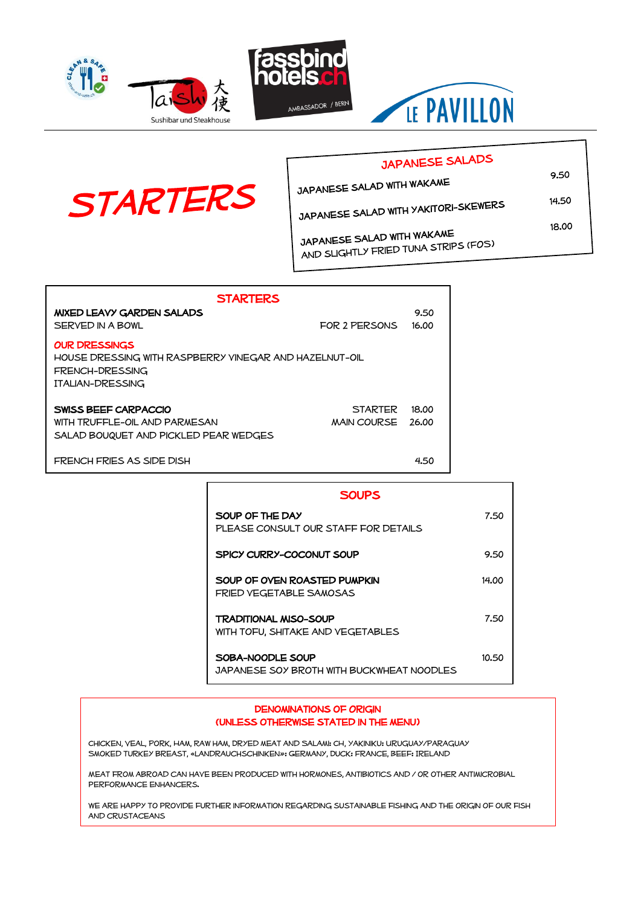





## JAPANESE SALADS JAPANESE SALAD WITH WAKAME

**STARTERS** JAPANESE SALAD WITH YAKITORI-SKEWERS

> JAPANESE SALAD WITH WAKAME JAPANESE SALAD WITH WARAWLE<br>AND SLIGHTLY FRIED TUNA STRIPS (FOS)

| <b>STARTERS</b>                                        |                    |       |
|--------------------------------------------------------|--------------------|-------|
| <b>MIXED LEAVY GARDEN SALADS</b>                       |                    | 9.50  |
| SERVED IN A BOWL                                       | FOR 2 PERSONS      | 16.00 |
| <b>OUR DRESSINGS</b>                                   |                    |       |
| HOUSE DRESSING WITH RASPBERRY VINEGAR AND HAZELNUT-OIL |                    |       |
| FRENCH-DRESSING                                        |                    |       |
| <b>ITALIAN-DRESSING</b>                                |                    |       |
| SWISS BEEF CARPACCIO                                   | <b>STARTER</b>     | 18.00 |
| WITH TRUFFLE-OIL AND PARMESAN                          | <b>MAIN COURSE</b> | 26.00 |
| SALAD BOUQUET AND PICKLED PEAR WEDGES                  |                    |       |
|                                                        |                    |       |

FRENCH FRIES AS SIDE DISH **4.50** 

| <b>SOUPS</b>                                                   |       |
|----------------------------------------------------------------|-------|
| SOUP OF THE DAY<br>PLEASE CONSULT OUR STAFF FOR DETAILS        | 7.50  |
| SPICY CURRY-COCONUT SOUP                                       | 9.50  |
| SOUP OF OVEN ROASTED PUMPKIN<br><b>FRIED VEGETABLE SAMOSAS</b> | 14.00 |
| TRADITIONAL MISO-SOUP<br>WITH TOFU, SHITAKE AND VEGETABLES     | 7.50  |
| SOBA-NOODLE SOUP<br>JAPANESE SOY BROTH WITH BUCKWHEAT NOODLES  | 10.50 |

#### DENOMINATIONS OF ORIGIN (unless otherwise stated in the menu)

Chicken, Veal, Pork, Ham, Raw ham, Dryed meat and Salami: CH, Yakiniku: Uruguay/Paraguay Smoked turkey breast, «Landrauchschinken»: Germany, Duck: France, Beef: Ireland

Meat from abroad can have been produced with hormones, antibiotics and / or other antimicrobial performance enhancers.

WE ARE HAPPY TO PROVIDE FURTHER INFORMATION REGARDING SUSTAINABLE FISHING AND THE ORIGIN OF OUR FISH and crustaceans

18.00

9.50

14.50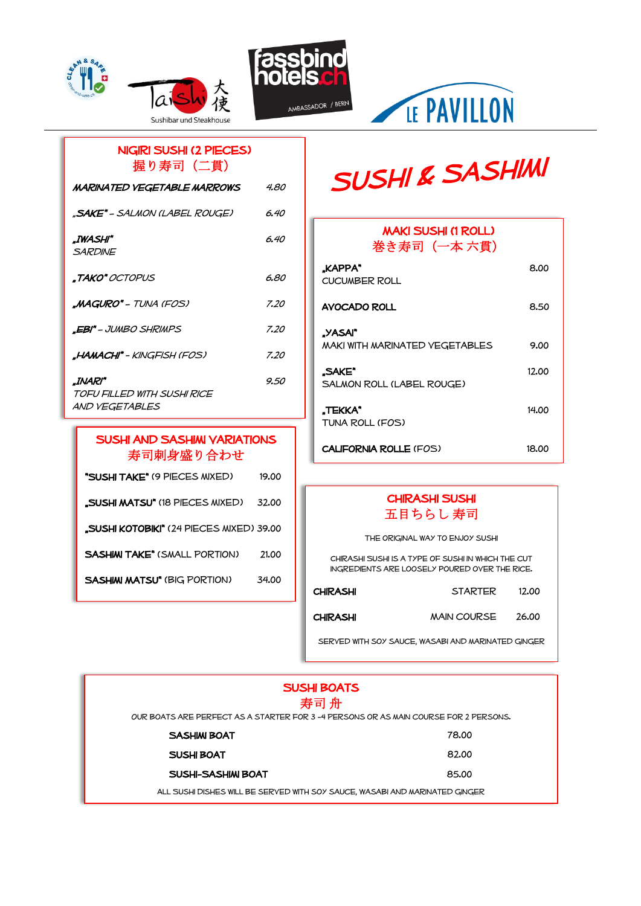







## Nigiri Sushi (2 pieces) 握り寿司(二貫)

| MARINATED VEGETABLE MARROWS                              | 4.80 |
|----------------------------------------------------------|------|
| "SAKE" – SALMON (LABEL ROUGE)                            | 6.40 |
| .IWASHI"<br><b>SARDINE</b>                               | 6.40 |
| <b>.TAKO"</b> OCTOPUS                                    | 6.80 |
| <b>MAGURO" -</b> TUNA (FOS).                             | 7.20 |
| <b>.EBI"</b> – JUMBO SHRIMPS                             | 7.20 |
| <b>"HAMACHI" -</b> KINGFISH (FOS)                        | 7.20 |
| .INARI"<br>TOFU FILLED WITH SUSHI RICE<br>AND VEGETABLES | 9.50 |

### SUSHI AND SASHIMI VARIATIONS 寿司刺身盛り合わせ

| "SUSHI TAKE" (9 PIECES MIXED)                   | 19.00 |
|-------------------------------------------------|-------|
| <b>"SUSHI MATSU" (18 PIECES MIXED)</b>          | 32.00 |
| <b>"SUSHI KOTOBIKI" (24 PIECES MIXED) 39.00</b> |       |
| <b>SASHIMI TAKE" (SMALL PORTION)</b>            | 21.00 |
| <b>SASHIM MATSU" (BIG PORTION)</b>              | 34.00 |
|                                                 |       |

## **SUSHI & SASHIMI**

| <b>MAKI SUSHI (1 ROLL)</b><br>巻き寿司(一本 六貫) |       |
|-------------------------------------------|-------|
| "KAPPA"<br><b>CUCUMBER ROLL</b>           | 8.00  |
| AVOCADO ROLL                              | 8.50  |
| "YASAI"                                   |       |
| MAKI WITH MARINATED VEGETABLES            | 9.00  |
| "SAKE"<br>SALMON ROLL (LABEL ROUGE)       | 12.00 |
| .TEKKA*<br>TUNA ROLL (FOS)                | 14.00 |
| <b>CALIFORNIA ROLLE (FOS)</b>             | 18.00 |

### Chirashi Sushi 五目ちらし 寿司

The original way to enjoy sushi

Chirashi Sushi is a type of sushi in which the cut ingredients are loosely poured over the rice.

| <b>CHIRASHI</b> | <b>STARTER</b>     | 12.00 |
|-----------------|--------------------|-------|
| CHIRASHI        | <b>MAIN COURSE</b> | 26.00 |

served with soy sauce, Wasabi and marinated ginger

| <b>SUSHI BOATS</b>                                                                  |       |
|-------------------------------------------------------------------------------------|-------|
| 寿司 舟                                                                                |       |
| OUR BOATS ARE PERFECT AS A STARTER FOR 3-4 PERSONS OR AS MAIN COURSE FOR 2 PERSONS. |       |
| <b>SASHIM BOAT</b>                                                                  | 78.00 |
| SUSH BOAT                                                                           | 82.00 |
| SUSHI-SASHIM BOAT                                                                   | 85.00 |
| ALL SUSHI DISHES WILL BE SERVED WITH SOY SAUCE, WASABI AND MARINATED GINGER         |       |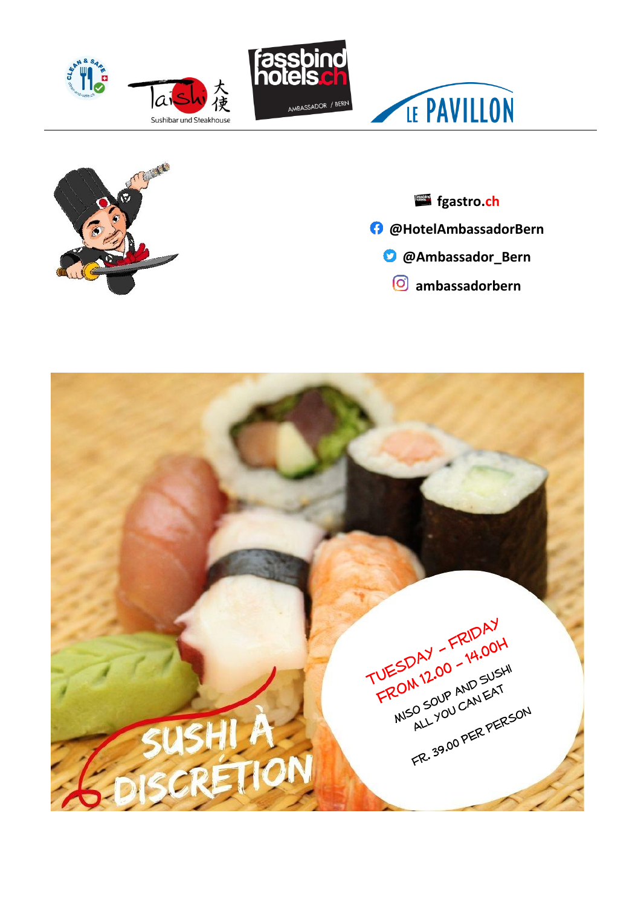









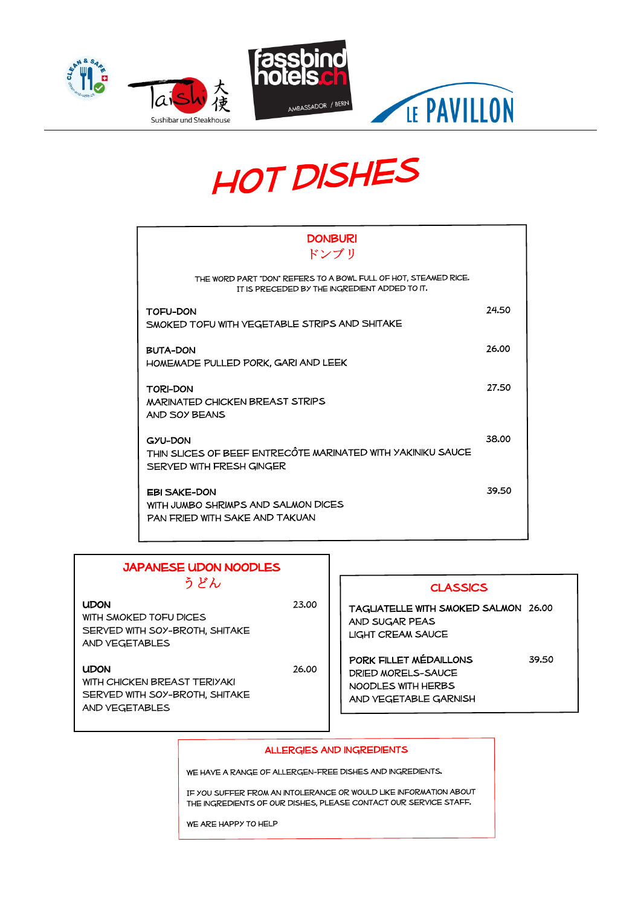



# **HOT DISHES**

| <b>DONBURI</b><br>ドンブリ                                                                                           |       |
|------------------------------------------------------------------------------------------------------------------|-------|
| THE WORD PART "DON" REFERS TO A BOWL FULL OF HOT, STEAMED RICE.<br>IT IS PRECEDED BY THE INGREDIENT ADDED TO IT. |       |
| <b>TOFU-DON</b><br>SMOKED TOFU WITH VEGETABLE STRIPS AND SHITAKE                                                 | 24.50 |
| BUTA-DON<br>HOMEMADE PULLED PORK, GARI AND LEEK                                                                  | 26.00 |
| <b>TORI-DON</b><br><b>MARINATED CHICKEN BREAST STRIPS</b><br>AND SOY BEANS                                       | 27.50 |
| GYU-DON<br>THIN SLICES OF BEEF ENTRECÔTE MARINATED WITH YAKINIKU SAUCE<br>SERVED WITH FRESH GINGER               | 38.00 |
| <b>EBI SAKE-DON</b><br>WITH JUMBO SHRIMPS AND SALMON DICES<br>PAN FRIED WITH SAKE AND TAKUAN                     | 39.50 |

### Japanese Udon Noodles うどん

#### UDON 23.0

WITH SMOKED TOFU DICES SERVED WITH SOY-BROTH, SHITAKE and vegetables

#### UDON 26.0

With chicken breast Teriyaki SERVED WITH SOY-BROTH, SHITAKE and vegetables

|    | <b>CLASSICS</b>                                                                                      |  |
|----|------------------------------------------------------------------------------------------------------|--|
| 50 | TAGLIATELLE WITH SMOKED SALMON 26.00<br>AND SUGAR PEAS<br><b>LIGHT CREAM SAUCE</b>                   |  |
| 00 | PORK FILLET MÉDAILLONS<br>39.50<br>DRIED MORELS-SAUCE<br>NOODLES WITH HERBS<br>AND VEGETABLE GARNISH |  |

#### **ALLERGIES AND INGREDIENTS**

WE HAVE A RANGE OF ALLERGEN-FREE DISHES AND INGREDIENTS.

IF YOU SUFFER FROM AN INTOLERANCE OR WOULD LIKE INFORMATION ABOUT THE INGREDIENTS OF OUR DISHES, PLEASE CONTACT OUR SERVICE STAFF.

WE ARE HAPPY TO HELP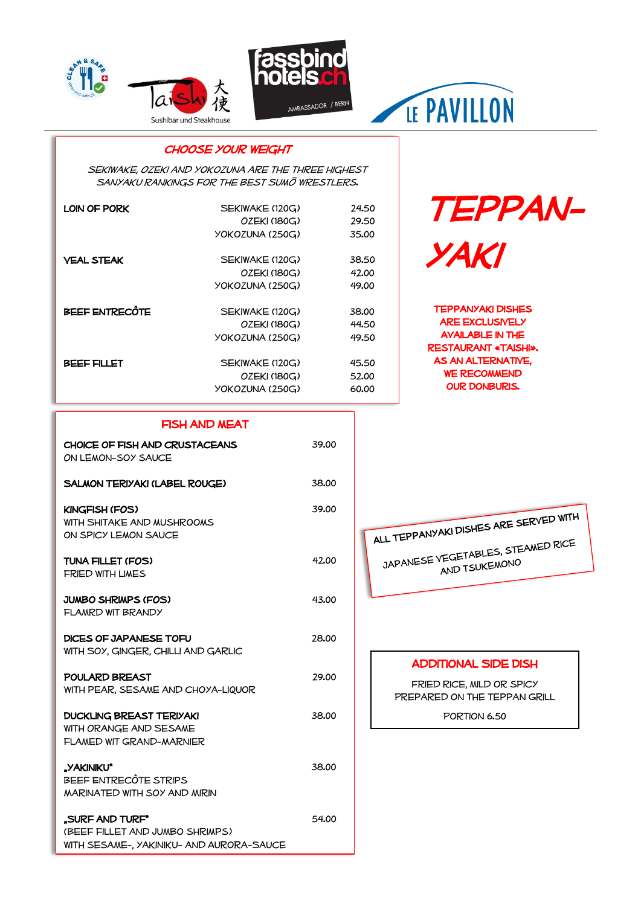





## LE PAVILLON

### CHOOSE YOUR WEIGHT

SEKIWAKE, OZEKI AND YOKOZUNA ARE THE THREE HIGHEST SANYAKU RANKINGS FOR THE BEST SUMO WRESTLERS.

| LOIN OF PORK      | SEKIWAKE (120G) | 24.50 |
|-------------------|-----------------|-------|
|                   | OZEKI (180G)    | 29.50 |
|                   | YOKOZUNA (250G) | 35.00 |
| <b>VEAL STEAK</b> | SEKIWAKE (120G) | 38.50 |
|                   | OZEKI (180G)    | 42.00 |
|                   | YOKOZUNA (250G) | 49.00 |
| BEEF ENTRECÔTE    | SEKIWAKE (120G) | 38.00 |
|                   | OZEKI (180G)    | 44.50 |
|                   | YOKOZUNA (250G) | 49.50 |
| BEEF FILLET       | SEKIWAKE (120G) | 45.50 |
|                   | OZEKI (180G)    | 52.00 |
|                   | YOKOZUNA (250G) | 60.00 |

## Teppanyaki

Teppanyaki dishes **ARE EXCLUSIVELY** Available in the restaurant «Taishi». As an alternative, WE RECOMMEND our Donburis.

#### Fish and meat

| CHOICE OF FISH AND CRUSTACEANS<br>ON LEMON-SOY SAUCE                                           | 39.00 |
|------------------------------------------------------------------------------------------------|-------|
| SALMON TERIYAKI (LABEL ROUGE)                                                                  | 38.00 |
| KINGFISH (FOS)<br>WITH SHITAKE AND MUSHROOMS<br>ON SPICY LEMON SAUCE                           | 39.00 |
| TUNA FILLET (FOS)<br><b>FRIED WITH LIMES</b>                                                   | 42.00 |
| JUMBO SHRIMPS (FOS)<br>FLAMRD WIT BRANDY                                                       | 43.00 |
| DICES OF JAPANESE TOFU<br>WITH SOY, GINGER, CHILLI AND GARLIC                                  | 28.00 |
| POULARD BREAST<br>WITH PEAR, SESAME AND CHOYA-LIQUOR                                           | 29.00 |
| DUCKLING BREAST TERIYAKI<br>WITH ORANGE AND SESAME<br>FLAMED WIT GRAND-MARNIER                 | 38.00 |
| "YAKINIKU"<br>BEEF ENTRECÔTE STRIPS<br><b>MARINATED WITH SOY AND MIRIN</b>                     | 38.00 |
| "SURF AND TURF"<br>(BEEF FILLET AND JUMBO SHRIMPS)<br>WITH SESAME-, YAKINIKU- AND AURORA-SAUCE | 54.00 |



#### **ADDITIONAL SIDE DISH**

Fried rice, mild or spicy Prepared on the teppan Grill

PORTION 6.50